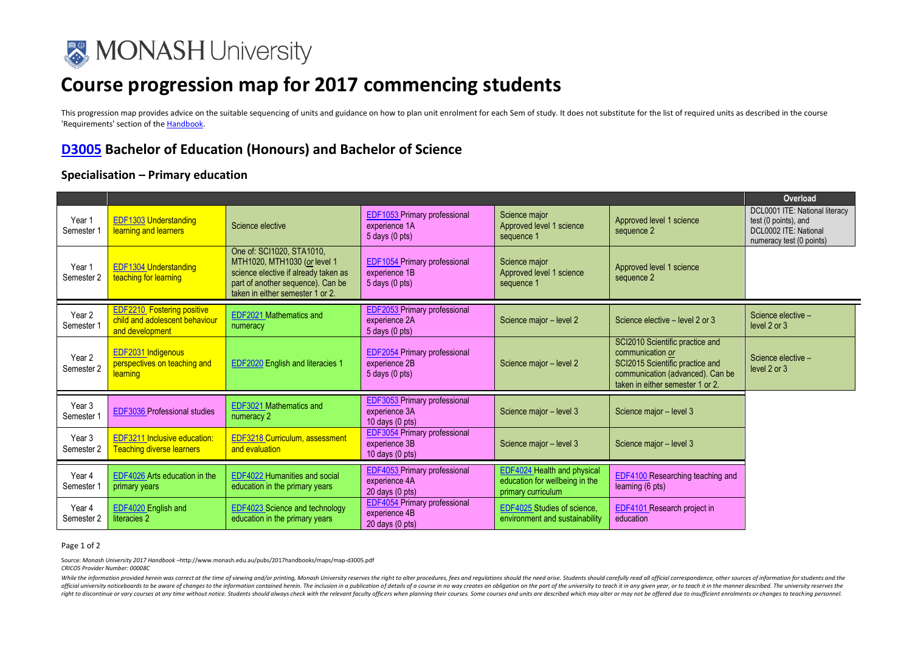

# **Course progression map for 2017 commencing students**

This progression map provides advice on the suitable sequencing of units and guidance on how to plan unit enrolment for each Sem of study. It does not substitute for the list of required units as described in the course 'Requirements' section of th[e Handbook.](http://www.monash.edu.au/pubs/2017handbooks/) 

## **[D3005](http://www.monash.edu.au/pubs/2017handbooks/courses/D3005.html) Bachelor of Education (Honours) and Bachelor of Science**

### **Specialisation – Primary education**

|                                 |                                                                                        |                                                                                                                                                                            |                                                                                   |                                                                                            |                                                                                                                                                                | Overload                                                                                                    |
|---------------------------------|----------------------------------------------------------------------------------------|----------------------------------------------------------------------------------------------------------------------------------------------------------------------------|-----------------------------------------------------------------------------------|--------------------------------------------------------------------------------------------|----------------------------------------------------------------------------------------------------------------------------------------------------------------|-------------------------------------------------------------------------------------------------------------|
| Year 1<br>Semester 1            | <b>EDF1303 Understanding</b><br>learning and learners                                  | Science elective                                                                                                                                                           | <b>EDF1053 Primary professional</b><br>experience 1A<br>$5$ days $(0$ pts)        | Science major<br>Approved level 1 science<br>sequence 1                                    | Approved level 1 science<br>sequence 2                                                                                                                         | DCL0001 ITE: National literacy<br>test (0 points), and<br>DCL0002 ITE: National<br>numeracy test (0 points) |
| Year 1<br>Semester 2            | <b>EDF1304 Understanding</b><br>teaching for learning                                  | One of: SCI1020, STA1010,<br>MTH1020, MTH1030 (or level 1<br>science elective if already taken as<br>part of another sequence). Can be<br>taken in either semester 1 or 2. | EDF1054 Primary professional<br>experience 1B<br>$5$ days $(0$ pts)               | Science major<br>Approved level 1 science<br>sequence 1                                    | Approved level 1 science<br>sequence 2                                                                                                                         |                                                                                                             |
| Year <sub>2</sub><br>Semester 1 | <b>EDF2210</b> Fostering positive<br>child and adolescent behaviour<br>and development | <b>EDF2021 Mathematics and</b><br>numeracy                                                                                                                                 | <b>EDF2053</b> Primary professional<br>experience 2A<br>5 days (0 pts)            | Science major - level 2                                                                    | Science elective - level 2 or 3                                                                                                                                | Science elective -<br>level 2 or 3                                                                          |
| Year 2<br>Semester 2            | EDF2031 Indigenous<br>perspectives on teaching and<br>learning                         | EDF2020 English and literacies 1                                                                                                                                           | <b>EDF2054</b> Primary professional<br>experience 2B<br>$5$ days $(0$ pts)        | Science major - level 2                                                                    | SCI2010 Scientific practice and<br>communication or<br>SCI2015 Scientific practice and<br>communication (advanced). Can be<br>taken in either semester 1 or 2. | Science elective -<br>level 2 or 3                                                                          |
| Year 3<br>Semester 1            | EDF3036 Professional studies                                                           | EDF3021 Mathematics and<br>numeracy 2                                                                                                                                      | <b>EDF3053 Primary professional</b><br>experience 3A<br>10 days (0 pts)           | Science major - level 3                                                                    | Science major - level 3                                                                                                                                        |                                                                                                             |
| Year <sub>3</sub><br>Semester 2 | EDF3211 Inclusive education:<br><b>Teaching diverse learners</b>                       | <b>EDF3218 Curriculum, assessment</b><br>and evaluation                                                                                                                    | <b>EDF3054</b> Primary professional<br>experience 3B<br>10 days $(0 \text{ pts})$ | Science major - level 3                                                                    | Science major - level 3                                                                                                                                        |                                                                                                             |
| Year 4<br>Semester 1            | EDF4026 Arts education in the<br>primary years                                         | <b>EDF4022 Humanities and social</b><br>education in the primary years                                                                                                     | <b>EDF4053</b> Primary professional<br>experience 4A<br>$20$ days $(0$ pts)       | <b>EDF4024 Health and physical</b><br>education for wellbeing in the<br>primary curriculum | <b>EDF4100</b> Researching teaching and<br>learning (6 pts)                                                                                                    |                                                                                                             |
| Year 4<br>Semester 2            | EDF4020 English and<br>literacies 2                                                    | <b>EDF4023</b> Science and technology<br>education in the primary years                                                                                                    | <b>EDF4054 Primary professional</b><br>experience 4B<br>20 days (0 pts)           | EDF4025 Studies of science,<br>environment and sustainability                              | <b>EDF4101</b> Research project in<br>education                                                                                                                |                                                                                                             |

#### Page 1 of 2

Source: *Monash University 2017 Handbook –*http://www.monash.edu.au/pubs/2017handbooks/maps/map-d3005.pdf *CRICOS Provider Number: 00008C*

While the information provided herein was correct at the time of viewing and/or printing, Monash University reserves the right to alter procedures, fees and regulations should the need arise. Students should carefully read official university noticeboards to be aware of changes to the information contained herein. The inclusion in a publication of details of a course in no way creates an obligation on the part of the university to teach it i right to discontinue or vary courses at any time without notice. Students should always check with the relevant faculty officers when planning their courses. Some courses and units are described which may alter or may not